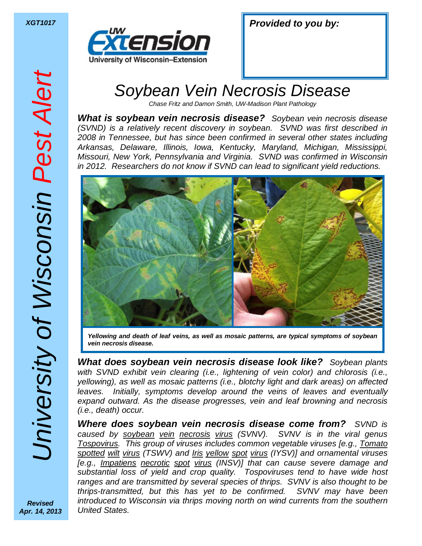

| <b>XGT1017</b> | <b>Provided to you by:</b> |
|----------------|----------------------------|
|                |                            |

## Soybean Vein Necrosis Disease

Chase Fritz and Damon Smith, UW-Madison Plant Pathology

*What is soybean vein necrosis disease?* Soybean vein necrosis disease (SVND) is a relatively recent discovery in soybean. SVND was first described in 2008 in Tennessee, but has since been confirmed in several other states including Arkansas, Delaware, Illinois, Iowa, Kentucky, Maryland, Michigan, Mississippi, Missouri, New York, Pennsylvania and Virginia. SVND was confirmed in Wisconsin in 2012. Researchers do not know if SVND can lead to significant yield reductions.



*Yellowing and death of leaf veins, as well as mosaic patterns, are typical symptoms of soybean vein necrosis disease.* 

*What does soybean vein necrosis disease look like?* Soybean plants with SVND exhibit vein clearing *(i.e., lightening of vein color)* and chlorosis *(i.e.,* yellowing), as well as mosaic patterns (i.e., blotchy light and dark areas) on affected leaves. Initially, symptoms develop around the veins of leaves and eventually expand outward. As the disease progresses, vein and leaf browning and necrosis (i.e., death) occur.

*Where does soybean vein necrosis disease come from?* SVND is caused by soybean vein necrosis virus (SVNV). SVNV is in the viral genus Tospovirus. This group of viruses includes common vegetable viruses [e.g., Tomato spotted wilt virus (TSWV) and *Iris yellow spot virus* (IYSV)] and ornamental viruses [e.g., Impatiens necrotic spot virus (INSV)] that can cause severe damage and substantial loss of yield and crop quality. Tospoviruses tend to have wide host ranges and are transmitted by several species of thrips. SVNV is also thought to be thrips-transmitted, but this has yet to be confirmed. SVNV may have been introduced to Wisconsin via thrips moving north on wind currents from the southern United States.

*Revised Apr. 14, 2013*